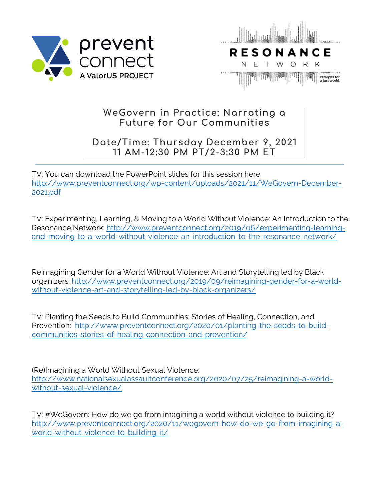



## **WeGovern in Practice: Narrating a Future for Our Communities**

## **Date/Time: Thursday December 9, 2021 11 AM-12:30 PM PT/2-3:30 PM ET**

TV: You can download the PowerPoint slides for this session here: http://www.preventconnect.org/wp-content/uploads/2021/11/WeGovern-December-2021.pdf

TV: Experimenting, Learning, & Moving to a World Without Violence: An Introduction to the Resonance Network: http://www.preventconnect.org/2019/06/experimenting-learningand-moving-to-a-world-without-violence-an-introduction-to-the-resonance-network/

Reimagining Gender for a World Without Violence: Art and Storytelling led by Black organizers: http://www.preventconnect.org/2019/09/reimagining-gender-for-a-worldwithout-violence-art-and-storytelling-led-by-black-organizers/

TV: Planting the Seeds to Build Communities: Stories of Healing, Connection, and Prevention: http://www.preventconnect.org/2020/01/planting-the-seeds-to-buildcommunities-stories-of-healing-connection-and-prevention/

(Re)Imagining a World Without Sexual Violence: http://www.nationalsexualassaultconference.org/2020/07/25/reimagining-a-worldwithout-sexual-violence/

TV: #WeGovern: How do we go from imagining a world without violence to building it? http://www.preventconnect.org/2020/11/wegovern-how-do-we-go-from-imagining-aworld-without-violence-to-building-it/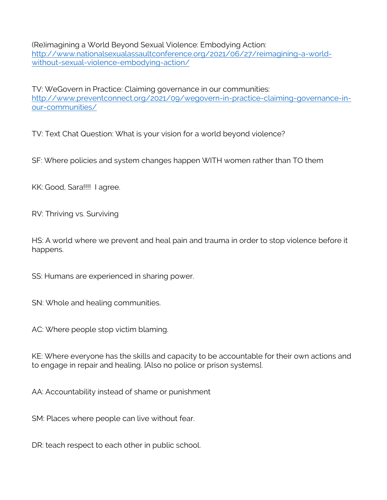(Re)imagining a World Beyond Sexual Violence: Embodying Action: http://www.nationalsexualassaultconference.org/2021/06/27/reimagining-a-worldwithout-sexual-violence-embodying-action/

TV: WeGovern in Practice: Claiming governance in our communities: http://www.preventconnect.org/2021/09/wegovern-in-practice-claiming-governance-inour-communities/

TV: Text Chat Question: What is your vision for a world beyond violence?

SF: Where policies and system changes happen WITH women rather than TO them

KK: Good, Sara!!!! I agree.

RV: Thriving vs. Surviving

HS: A world where we prevent and heal pain and trauma in order to stop violence before it happens.

SS: Humans are experienced in sharing power.

SN: Whole and healing communities.

AC: Where people stop victim blaming.

KE: Where everyone has the skills and capacity to be accountable for their own actions and to engage in repair and healing. [Also no police or prison systems].

AA: Accountability instead of shame or punishment

SM: Places where people can live without fear.

DR: teach respect to each other in public school.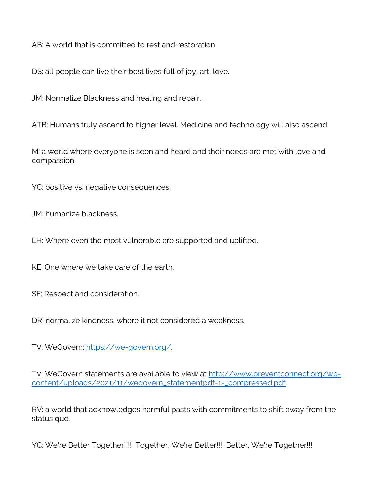AB: A world that is committed to rest and restoration.

DS: all people can live their best lives full of joy, art, love.

JM: Normalize Blackness and healing and repair.

ATB: Humans truly ascend to higher level. Medicine and technology will also ascend.

M: a world where everyone is seen and heard and their needs are met with love and compassion.

YC: positive vs. negative consequences.

JM: humanize blackness.

LH: Where even the most vulnerable are supported and uplifted.

KE: One where we take care of the earth.

SF: Respect and consideration.

DR: normalize kindness, where it not considered a weakness.

TV: WeGovern: https://we-govern.org/.

TV: WeGovern statements are available to view at http://www.preventconnect.org/wpcontent/uploads/2021/11/wegovern\_statementpdf-1-\_compressed.pdf.

RV: a world that acknowledges harmful pasts with commitments to shift away from the status quo.

YC: We're Better Together!!!! Together, We're Better!!! Better, We're Together!!!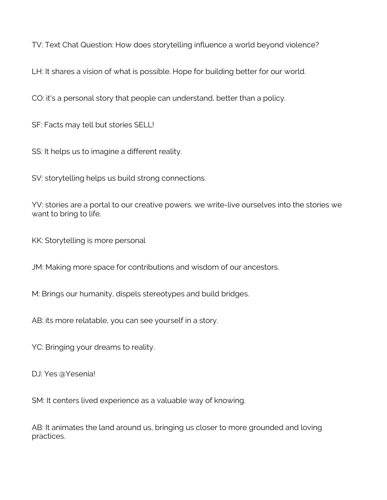TV: Text Chat Question: How does storytelling influence a world beyond violence?

LH: It shares a vision of what is possible. Hope for building better for our world.

CO: it's a personal story that people can understand, better than a policy.

SF: Facts may tell but stories SELL!

SS: It helps us to imagine a different reality.

SV: storytelling helps us build strong connections.

YV: stories are a portal to our creative powers. we write-live ourselves into the stories we want to bring to life.

KK: Storytelling is more personal

JM: Making more space for contributions and wisdom of our ancestors.

M: Brings our humanity, dispels stereotypes and build bridges.

AB: its more relatable, you can see yourself in a story.

YC: Bringing your dreams to reality.

DJ: Yes @Yesenia!

SM: It centers lived experience as a valuable way of knowing.

AB: It animates the land around us, bringing us closer to more grounded and loving practices.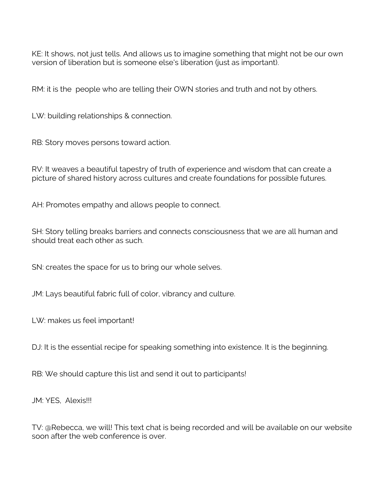KE: It shows, not just tells. And allows us to imagine something that might not be our own version of liberation but is someone else's liberation (just as important).

RM: it is the people who are telling their OWN stories and truth and not by others.

LW: building relationships & connection.

RB: Story moves persons toward action.

RV: It weaves a beautiful tapestry of truth of experience and wisdom that can create a picture of shared history across cultures and create foundations for possible futures.

AH: Promotes empathy and allows people to connect.

SH: Story telling breaks barriers and connects consciousness that we are all human and should treat each other as such.

SN: creates the space for us to bring our whole selves.

JM: Lays beautiful fabric full of color, vibrancy and culture.

LW: makes us feel important!

DJ: It is the essential recipe for speaking something into existence. It is the beginning.

RB: We should capture this list and send it out to participants!

JM: YES, Alexis!!!

TV: @Rebecca, we will! This text chat is being recorded and will be available on our website soon after the web conference is over.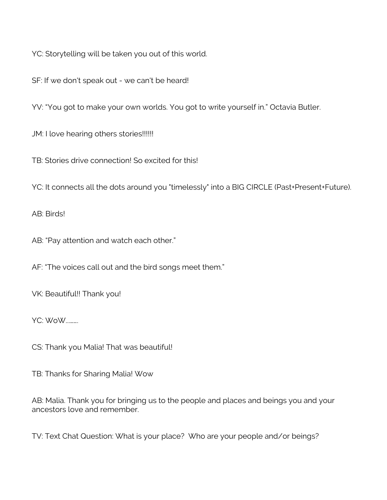YC: Storytelling will be taken you out of this world.

SF: If we don't speak out - we can't be heard!

YV: "You got to make your own worlds. You got to write yourself in." Octavia Butler.

JM: I love hearing others stories!!!!!!

TB: Stories drive connection! So excited for this!

YC: It connects all the dots around you "timelessly" into a BIG CIRCLE (Past+Present+Future).

AB: Birds!

AB: "Pay attention and watch each other."

AF: "The voices call out and the bird songs meet them."

VK: Beautiful!! Thank you!

YC: WoW...…….

CS: Thank you Malia! That was beautiful!

TB: Thanks for Sharing Malia! Wow

AB: Malia. Thank you for bringing us to the people and places and beings you and your ancestors love and remember.

TV: Text Chat Question: What is your place? Who are your people and/or beings?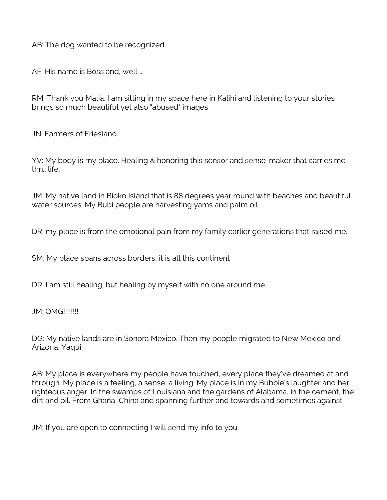AB: The dog wanted to be recognized.

AF: His name is Boss and, well….

RM: Thank you Malia. I am sitting in my space here in Kalihi and listening to your stories brings so much beautiful yet also "abused" images

JN: Farmers of Friesland.

YV: My body is my place. Healing & honoring this sensor and sense-maker that carries me thru life.

JM: My native land in Bioko Island that is 88 degrees year round with beaches and beautiful water sources. My Bubi people are harvesting yams and palm oil.

DR: my place is from the emotional pain from my family earlier generations that raised me.

SM: My place spans across borders, it is all this continent

DR: I am still healing, but healing by myself with no one around me.

JM: OMG!!!!!!!!

DG: My native lands are in Sonora Mexico. Then my people migrated to New Mexico and Arizona. Yaqui.

AB: My place is everywhere my people have touched, every place they've dreamed at and through. My place is a feeling, a sense, a living. My place is in my Bubbie's laughter and her righteous anger. In the swamps of Louisiana and the gardens of Alabama, in the cement, the dirt and oil. From Ghana, China and spanning further and towards and sometimes against.

JM: If you are open to connecting I will send my info to you.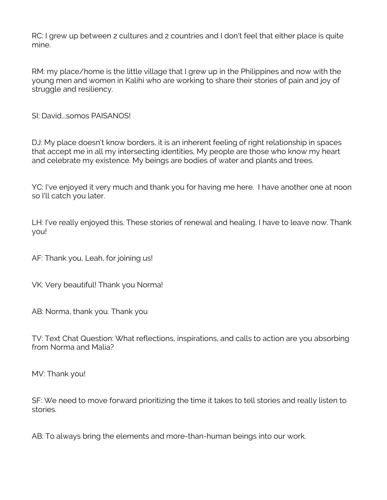RC: I grew up between 2 cultures and 2 countries and I don't feel that either place is quite mine.

RM: my place/home is the little village that I grew up in the Philippines and now with the young men and women in Kalihi who are working to share their stories of pain and joy of struggle and resiliency.

SI: David...somos PAISANOS!

DJ: My place doesn't know borders, it is an inherent feeling of right relationship in spaces that accept me in all my intersecting identities, My people are those who know my heart and celebrate my existence. My beings are bodies of water and plants and trees.

YC: I've enjoyed it very much and thank you for having me here. I have another one at noon so I'll catch you later.

LH: I've really enjoyed this. These stories of renewal and healing. I have to leave now. Thank you!

AF: Thank you, Leah, for joining us!

VK: Very beautiful! Thank you Norma!

AB: Norma, thank you. Thank you

TV: Text Chat Question: What reflections, inspirations, and calls to action are you absorbing from Norma and Malia?

MV: Thank you!

SF: We need to move forward prioritizing the time it takes to tell stories and really listen to stories.

AB: To always bring the elements and more-than-human beings into our work.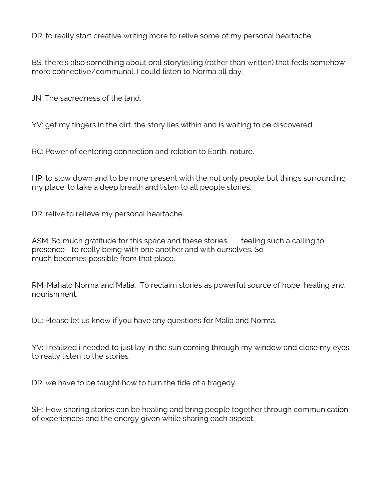DR: to really start creative writing more to relive some of my personal heartache.

BS: there's also something about oral storytelling (rather than written) that feels somehow more connective/communal. I could listen to Norma all day.

JN: The sacredness of the land.

YV: get my fingers in the dirt. the story lies within and is waiting to be discovered.

RC: Power of centering connection and relation to Earth, nature.

HP: to slow down and to be more present with the not only people but things surrounding my place. to take a deep breath and listen to all people stories.

DR: relive to relieve my personal heartache.

ASM: So much gratitude for this space and these stories feeling such a calling to presence—to really being with one another and with ourselves. So much becomes possible from that place.

RM: Mahalo Norma and Malia. To reclaim stories as powerful source of hope, healing and nourishment.

DL: Please let us know if you have any questions for Malia and Norma.

YV: I realized i needed to just lay in the sun coming through my window and close my eyes to really listen to the stories.

DR: we have to be taught how to turn the tide of a tragedy.

SH: How sharing stories can be healing and bring people together through communication of experiences and the energy given while sharing each aspect.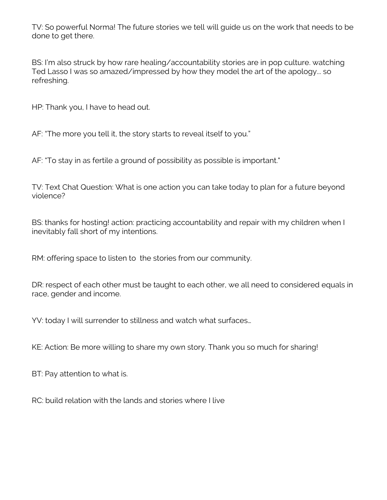TV: So powerful Norma! The future stories we tell will guide us on the work that needs to be done to get there.

BS: I'm also struck by how rare healing/accountability stories are in pop culture. watching Ted Lasso I was so amazed/impressed by how they model the art of the apology... so refreshing.

HP: Thank you, I have to head out.

AF: "The more you tell it, the story starts to reveal itself to you."

AF: "To stay in as fertile a ground of possibility as possible is important."

TV: Text Chat Question: What is one action you can take today to plan for a future beyond violence?

BS: thanks for hosting! action: practicing accountability and repair with my children when I inevitably fall short of my intentions.

RM: offering space to listen to the stories from our community.

DR: respect of each other must be taught to each other, we all need to considered equals in race, gender and income.

YV: today I will surrender to stillness and watch what surfaces…

KE: Action: Be more willing to share my own story. Thank you so much for sharing!

BT: Pay attention to what is.

RC: build relation with the lands and stories where I live